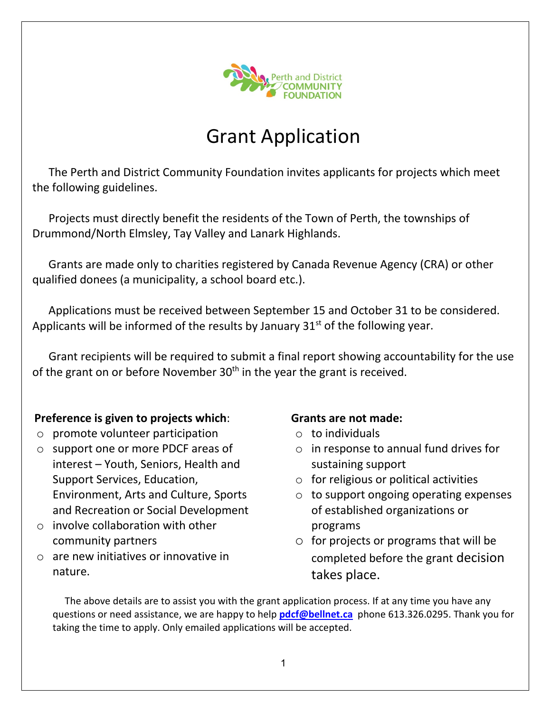

# Grant Application

The Perth and District Community Foundation invites applicants for projects which meet the following guidelines.

Projects must directly benefit the residents of the Town of Perth, the townships of Drummond/North Elmsley, Tay Valley and Lanark Highlands.

Grants are made only to charities registered by Canada Revenue Agency (CRA) or other qualified donees (a municipality, a school board etc.).

Applications must be received between September 15 and October 31 to be considered. Applicants will be informed of the results by January  $31<sup>st</sup>$  of the following year.

Grant recipients will be required to submit a final report showing accountability for the use of the grant on or before November  $30<sup>th</sup>$  in the year the grant is received.

#### **Preference is given to projects which**:

- o promote volunteer participation
- o support one or more PDCF areas of interest – Youth, Seniors, Health and Support Services, Education, Environment, Arts and Culture, Sports and Recreation or Social Development
- $\circ$  involve collaboration with other community partners
- o are new initiatives or innovative in nature.

#### **Grants are not made:**

- $\circ$  to individuals
- o in response to annual fund drives for sustaining support
- $\circ$  for religious or political activities
- $\circ$  to support ongoing operating expenses of established organizations or programs
- $\circ$  for projects or programs that will be completed before the grant decision takes place.

The above details are to assist you with the grant application process. If at any time you have any questions or need assistance, we are happy to help **[pdcf@bellnet.ca](http://www.pdcf.ca/contacts.php)** phone 613.326.0295. Thank you for taking the time to apply. Only emailed applications will be accepted.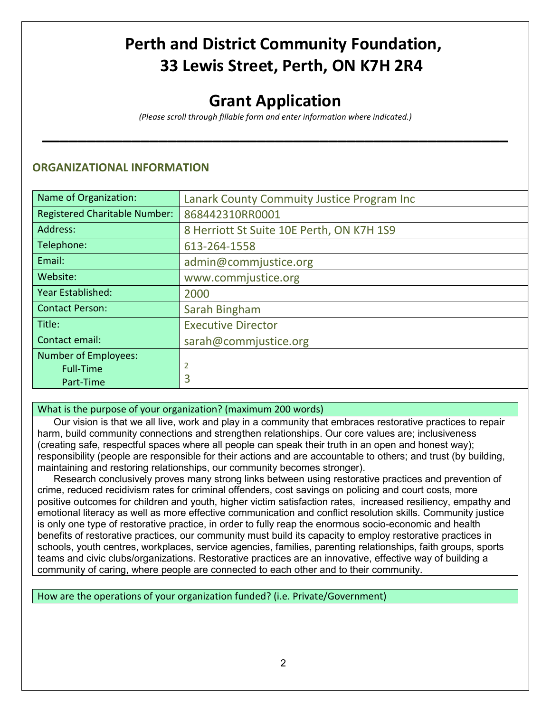## **Perth and District Community Foundation, 33 Lewis Street, Perth, ON K7H 2R4**

### **Grant Application**

*(Please scroll through fillable form and enter information where indicated.)*

**\_\_\_\_\_\_\_\_\_\_\_\_\_\_\_\_\_\_\_\_\_\_\_\_\_\_\_\_\_\_\_\_\_\_\_\_\_\_\_\_\_\_\_\_\_\_\_\_\_\_\_\_**

#### **ORGANIZATIONAL INFORMATION**

| Name of Organization:                | Lanark County Commuity Justice Program Inc |
|--------------------------------------|--------------------------------------------|
| <b>Registered Charitable Number:</b> | 868442310RR0001                            |
| Address:                             | 8 Herriott St Suite 10E Perth, ON K7H 1S9  |
| Telephone:                           | 613-264-1558                               |
| Email:                               | admin@commjustice.org                      |
| Website:                             | www.commjustice.org                        |
| Year Established:                    | 2000                                       |
| <b>Contact Person:</b>               | Sarah Bingham                              |
| Title:                               | <b>Executive Director</b>                  |
| Contact email:                       | sarah@commjustice.org                      |
| <b>Number of Employees:</b>          |                                            |
| <b>Full-Time</b>                     | 2                                          |
| Part-Time                            | 3                                          |

#### What is the purpose of your organization? (maximum 200 words)

Our vision is that we all live, work and play in a community that embraces restorative practices to repair harm, build community connections and strengthen relationships. Our core values are; inclusiveness (creating safe, respectful spaces where all people can speak their truth in an open and honest way); responsibility (people are responsible for their actions and are accountable to others; and trust (by building, maintaining and restoring relationships, our community becomes stronger).

Research conclusively proves many strong links between using restorative practices and prevention of crime, reduced recidivism rates for criminal offenders, cost savings on policing and court costs, more positive outcomes for children and youth, higher victim satisfaction rates, increased resiliency, empathy and emotional literacy as well as more effective communication and conflict resolution skills. Community justice is only one type of restorative practice, in order to fully reap the enormous socio-economic and health benefits of restorative practices, our community must build its capacity to employ restorative practices in schools, youth centres, workplaces, service agencies, families, parenting relationships, faith groups, sports teams and civic clubs/organizations. Restorative practices are an innovative, effective way of building a community of caring, where people are connected to each other and to their community.

#### How are the operations of your organization funded? (i.e. Private/Government)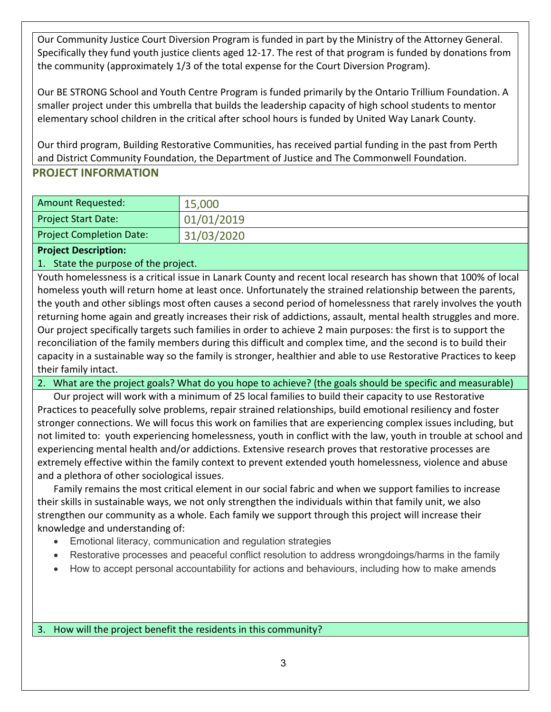Our Community Justice Court Diversion Program is funded in part by the Ministry of the Attorney General. Specifically they fund youth justice clients aged 12-17. The rest of that program is funded by donations from the community (approximately 1/3 of the total expense for the Court Diversion Program).

Our BE STRONG School and Youth Centre Program is funded primarily by the Ontario Trillium Foundation. A smaller project under this umbrella that builds the leadership capacity of high school students to mentor elementary school children in the critical after school hours is funded by United Way Lanark County.

Our third program, Building Restorative Communities, has received partial funding in the past from Perth and District Community Foundation, the Department of Justice and The Commonwell Foundation.

#### **PROJECT INFORMATION**

| <b>Amount Requested:</b>        | 15,000     |
|---------------------------------|------------|
| <b>Project Start Date:</b>      | 01/01/2019 |
| <b>Project Completion Date:</b> | 31/03/2020 |

**Project Description:** 

1. State the purpose of the project.

Youth homelessness is a critical issue in Lanark County and recent local research has shown that 100% of local homeless youth will return home at least once. Unfortunately the strained relationship between the parents, the youth and other siblings most often causes a second period of homelessness that rarely involves the youth returning home again and greatly increases their risk of addictions, assault, mental health struggles and more. Our project specifically targets such families in order to achieve 2 main purposes: the first is to support the reconciliation of the family members during this difficult and complex time, and the second is to build their capacity in a sustainable way so the family is stronger, healthier and able to use Restorative Practices to keep their family intact.

2. What are the project goals? What do you hope to achieve? (the goals should be specific and measurable)

Our project will work with a minimum of 25 local families to build their capacity to use Restorative Practices to peacefully solve problems, repair strained relationships, build emotional resiliency and foster stronger connections. We will focus this work on families that are experiencing complex issues including, but not limited to: youth experiencing homelessness, youth in conflict with the law, youth in trouble at school and experiencing mental health and/or addictions. Extensive research proves that restorative processes are extremely effective within the family context to prevent extended youth homelessness, violence and abuse and a plethora of other sociological issues.

Family remains the most critical element in our social fabric and when we support families to increase their skills in sustainable ways, we not only strengthen the individuals within that family unit, we also strengthen our community as a whole. Each family we support through this project will increase their knowledge and understanding of:

- Emotional literacy, communication and regulation strategies
- Restorative processes and peaceful conflict resolution to address wrongdoings/harms in the family
- How to accept personal accountability for actions and behaviours, including how to make amends

3. How will the project benefit the residents in this community?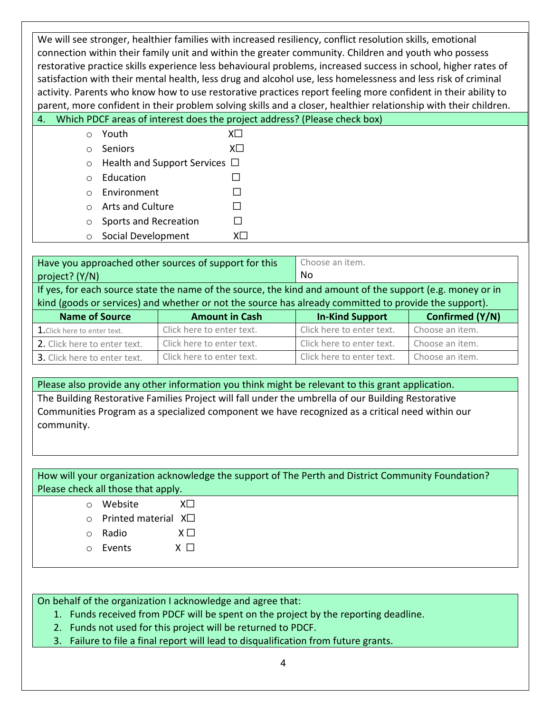We will see stronger, healthier families with increased resiliency, conflict resolution skills, emotional connection within their family unit and within the greater community. Children and youth who possess restorative practice skills experience less behavioural problems, increased success in school, higher rates of satisfaction with their mental health, less drug and alcohol use, less homelessness and less risk of criminal activity. Parents who know how to use restorative practices report feeling more confident in their ability to parent, more confident in their problem solving skills and a closer, healthier relationship with their children.

|  | 4. Which PDCF areas of interest does the project address? (Please check box) |  |  |
|--|------------------------------------------------------------------------------|--|--|
|--|------------------------------------------------------------------------------|--|--|

| ○ Youth                                    |     |
|--------------------------------------------|-----|
| $\circ$ Seniors                            | XII |
| $\circ$ Health and Support Services $\Box$ |     |
| $\circ$ Education                          |     |
| $\circ$ Environment                        |     |

- o Arts and Culture □
- $\circ$  Sports and Recreation  $\Box$
- o Social Development X☐

| Have you approached other sources of support for this<br>project? (Y/N)                                                                                                                                             |                           | Choose an item.<br>No.    |                 |
|---------------------------------------------------------------------------------------------------------------------------------------------------------------------------------------------------------------------|---------------------------|---------------------------|-----------------|
| If yes, for each source state the name of the source, the kind and amount of the support (e.g. money or in<br>kind (goods or services) and whether or not the source has already committed to provide the support). |                           |                           |                 |
| <b>Name of Source</b>                                                                                                                                                                                               | <b>Amount in Cash</b>     | <b>In-Kind Support</b>    | Confirmed (Y/N) |
| 1. Click here to enter text.                                                                                                                                                                                        | Click here to enter text. | Click here to enter text. | Choose an item. |
| 2. Click here to enter text.                                                                                                                                                                                        | Click here to enter text. | Click here to enter text. | Choose an item. |
| 3. Click here to enter text.                                                                                                                                                                                        | Click here to enter text. | Click here to enter text. | Choose an item. |

Please also provide any other information you think might be relevant to this grant application. The Building Restorative Families Project will fall under the umbrella of our Building Restorative Communities Program as a specialized component we have recognized as a critical need within our community.

| How will your organization acknowledge the support of The Perth and District Community Foundation? |                             |             |
|----------------------------------------------------------------------------------------------------|-----------------------------|-------------|
| Please check all those that apply.                                                                 |                             |             |
|                                                                                                    | Website                     | XΠ          |
| $\cap$                                                                                             | Printed material $X\square$ |             |
|                                                                                                    | Radio                       | $X \square$ |
|                                                                                                    | Events                      | $X$         |

On behalf of the organization I acknowledge and agree that:

- 1. Funds received from PDCF will be spent on the project by the reporting deadline.
- 2. Funds not used for this project will be returned to PDCF.
- 3. Failure to file a final report will lead to disqualification from future grants.